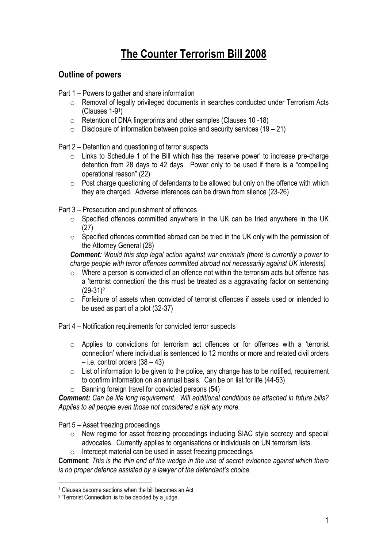# **The Counter Terrorism Bill 2008**

# **Outline of powers**

Part 1 – Powers to gather and share information

- o Removal of legally privileged documents in searches conducted under Terrorism Acts (Clauses 1-91)
- o Retention of DNA fingerprints and other samples (Clauses 10 -18)
- $\circ$  Disclosure of information between police and security services (19 21)

Part 2 – Detention and questioning of terror suspects

- o Links to Schedule 1 of the Bill which has the 'reserve power' to increase pre-charge detention from 28 days to 42 days. Power only to be used if there is a "compelling operational reason" (22)
- $\circ$  Post charge questioning of defendants to be allowed but only on the offence with which they are charged. Adverse inferences can be drawn from silence (23-26)
- Part 3 Prosecution and punishment of offences
	- o Specified offences committed anywhere in the UK can be tried anywhere in the UK (27)
	- o Specified offences committed abroad can be tried in the UK only with the permission of the Attorney General (28)

*Comment: Would this stop legal action against war criminals (there is currently a power to charge people with terror offences committed abroad not necessarily against UK interests)*

- o Where a person is convicted of an offence not within the terrorism acts but offence has a 'terrorist connection' the this must be treated as a aggravating factor on sentencing (29-31)2
- o Forfeiture of assets when convicted of terrorist offences if assets used or intended to be used as part of a plot (32-37)

Part 4 – Notification requirements for convicted terror suspects

- o Applies to convictions for terrorism act offences or for offences with a 'terrorist connection' where individual is sentenced to 12 months or more and related civil orders  $-$  i.e. control orders  $(38 - 43)$
- $\circ$  List of information to be given to the police, any change has to be notified, requirement to confirm information on an annual basis. Can be on list for life (44-53)
- $\circ$  Banning foreign travel for convicted persons (54)

*Comment: Can be life long requirement. Will additional conditions be attached in future bills? Applies to all people even those not considered a risk any more.* 

Part 5 – Asset freezing proceedings

 $\overline{a}$ 

- o New regime for asset freezing proceedings including SIAC style secrecy and special advocates. Currently applies to organisations or individuals on UN terrorism lists.
- o Intercept material can be used in asset freezing proceedings

**Comment**; *This is the thin end of the wedge in the use of secret evidence against which there is no proper defence assisted by a lawyer of the defendant's choice.* 

<sup>1</sup> Clauses become sections when the bill becomes an Act

<sup>2 &#</sup>x27;Terrorist Connection' is to be decided by a judge.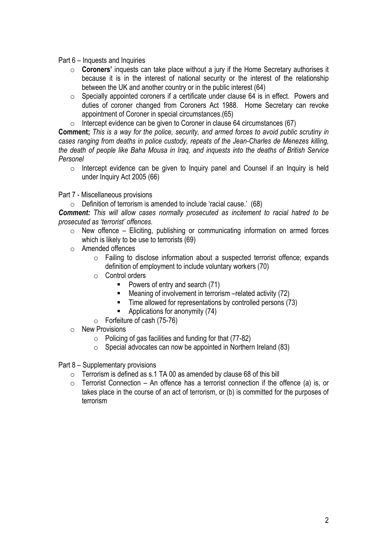#### Part 6 – Inquests and Inquiries

- o **Coroners'** inquests can take place without a jury if the Home Secretary authorises it because it is in the interest of national security or the interest of the relationship between the UK and another country or in the public interest (64)
- o Specially appointed coroners if a certificate under clause 64 is in effect. Powers and duties of coroner changed from Coroners Act 1988. Home Secretary can revoke appointment of Coroner in special circumstances.(65)
- $\circ$  Intercept evidence can be given to Coroner in clause 64 circumstances (67)

**Comment;** *This is a way for the police, security, and armed forces to avoid public scrutiny in cases ranging from deaths in police custody, repeats of the Jean-Charles de Menezes killing, the death of people like Baha Mousa in Iraq, and inquests into the deaths of British Service Personel*

o Intercept evidence can be given to Inquiry panel and Counsel if an Inquiry is held under Inquiry Act 2005 (66)

Part 7 - Miscellaneous provisions

 $\circ$  Definition of terrorism is amended to include 'racial cause.' (68)

*Comment: This will allow cases normally prosecuted as incitement to racial hatred to be prosecuted as 'terrorist' offences.* 

- $\circ$  New offence Eliciting, publishing or communicating information on armed forces which is likely to be use to terrorists (69)
- o Amended offences
	- o Failing to disclose information about a suspected terrorist offence; expands definition of employment to include voluntary workers (70)
	- O Control orders
		- Powers of entry and search (71)
		- Meaning of involvement in terrorism –related activity (72)
		- Time allowed for representations by controlled persons (73)
		- Applications for anonymity (74)
	- o Forfeiture of cash (75-76)
- o New Provisions
	- $\circ$  Policing of gas facilities and funding for that (77-82)
	- $\circ$  Special advocates can now be appointed in Northern Ireland (83)
- Part 8 Supplementary provisions
	- $\circ$  Terrorism is defined as s.1 TA 00 as amended by clause 68 of this bill
	- $\circ$  Terrorist Connection An offence has a terrorist connection if the offence (a) is, or takes place in the course of an act of terrorism, or (b) is committed for the purposes of terrorism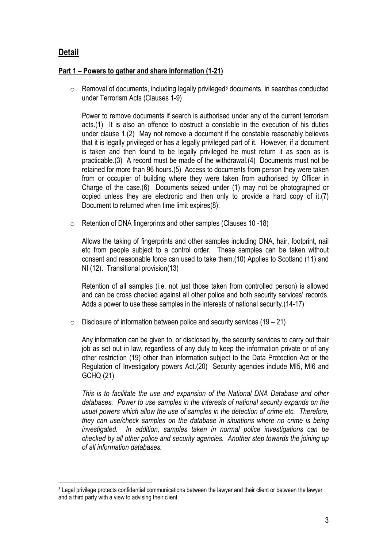# **Detail**

 $\overline{a}$ 

### **Part 1 – Powers to gather and share information (1-21)**

 $\circ$  Removal of documents, including legally privileged<sup>3</sup> documents, in searches conducted under Terrorism Acts (Clauses 1-9)

Power to remove documents if search is authorised under any of the current terrorism acts.(1) It is also an offence to obstruct a constable in the execution of his duties under clause 1.(2) May not remove a document if the constable reasonably believes that it is legally privileged or has a legally privileged part of it. However, if a document is taken and then found to be legally privileged he must return it as soon as is practicable.(3) A record must be made of the withdrawal.(4) Documents must not be retained for more than 96 hours.(5) Access to documents from person they were taken from or occupier of building where they were taken from authorised by Officer in Charge of the case.(6) Documents seized under (1) may not be photographed or copied unless they are electronic and then only to provide a hard copy of it.(7) Document to returned when time limit expires(8).

o Retention of DNA fingerprints and other samples (Clauses 10 -18)

Allows the taking of fingerprints and other samples including DNA, hair, footprint, nail etc from people subject to a control order. These samples can be taken without consent and reasonable force can used to take them.(10) Applies to Scotland (11) and NI (12). Transitional provision(13)

Retention of all samples (i.e. not just those taken from controlled person) is allowed and can be cross checked against all other police and both security services' records. Adds a power to use these samples in the interests of national security.(14-17)

 $\circ$  Disclosure of information between police and security services (19 – 21)

Any information can be given to, or disclosed by, the security services to carry out their job as set out in law, regardless of any duty to keep the information private or of any other restriction (19) other than information subject to the Data Protection Act or the Regulation of Investigatory powers Act.(20) Security agencies include MI5, MI6 and GCHQ (21)

*This is to facilitate the use and expansion of the National DNA Database and other databases. Power to use samples in the interests of national security expands on the usual powers which allow the use of samples in the detection of crime etc. Therefore, they can use/check samples on the database in situations where no crime is being investigated. In addition, samples taken in normal police investigations can be checked by all other police and security agencies. Another step towards the joining up of all information databases.* 

<sup>3</sup> Legal privilege protects confidential communications between the lawyer and their client or between the lawyer and a third party with a view to advising their client.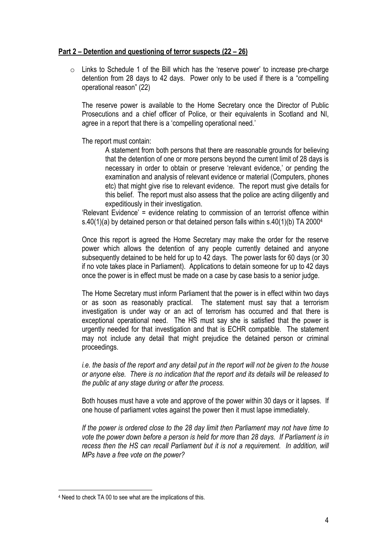#### **Part 2 – Detention and questioning of terror suspects (22 – 26)**

o Links to Schedule 1 of the Bill which has the 'reserve power' to increase pre-charge detention from 28 days to 42 days. Power only to be used if there is a "compelling operational reason" (22)

The reserve power is available to the Home Secretary once the Director of Public Prosecutions and a chief officer of Police, or their equivalents in Scotland and NI, agree in a report that there is a 'compelling operational need.'

The report must contain:

A statement from both persons that there are reasonable grounds for believing that the detention of one or more persons beyond the current limit of 28 days is necessary in order to obtain or preserve 'relevant evidence,' or pending the examination and analysis of relevant evidence or material (Computers, phones etc) that might give rise to relevant evidence. The report must give details for this belief. The report must also assess that the police are acting diligently and expeditiously in their investigation.

'Relevant Evidence' = evidence relating to commission of an terrorist offence within s.40(1)(a) by detained person or that detained person falls within s.40(1)(b) TA 2000<sup>4</sup>

Once this report is agreed the Home Secretary may make the order for the reserve power which allows the detention of any people currently detained and anyone subsequently detained to be held for up to 42 days. The power lasts for 60 days (or 30 if no vote takes place in Parliament). Applications to detain someone for up to 42 days once the power is in effect must be made on a case by case basis to a senior judge.

The Home Secretary must inform Parliament that the power is in effect within two days or as soon as reasonably practical. The statement must say that a terrorism investigation is under way or an act of terrorism has occurred and that there is exceptional operational need. The HS must say she is satisfied that the power is urgently needed for that investigation and that is ECHR compatible. The statement may not include any detail that might prejudice the detained person or criminal proceedings.

*i.e. the basis of the report and any detail put in the report will not be given to the house or anyone else. There is no indication that the report and its details will be released to the public at any stage during or after the process.* 

Both houses must have a vote and approve of the power within 30 days or it lapses. If one house of parliament votes against the power then it must lapse immediately.

*If the power is ordered close to the 28 day limit then Parliament may not have time to vote the power down before a person is held for more than 28 days. If Parliament is in recess then the HS can recall Parliament but it is not a requirement. In addition, will MPs have a free vote on the power?* 

<sup>4</sup> Need to check TA 00 to see what are the implications of this.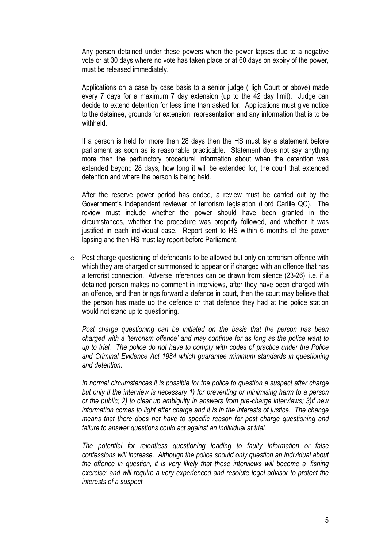Any person detained under these powers when the power lapses due to a negative vote or at 30 days where no vote has taken place or at 60 days on expiry of the power, must be released immediately.

Applications on a case by case basis to a senior judge (High Court or above) made every 7 days for a maximum 7 day extension (up to the 42 day limit). Judge can decide to extend detention for less time than asked for. Applications must give notice to the detainee, grounds for extension, representation and any information that is to be withheld.

If a person is held for more than 28 days then the HS must lay a statement before parliament as soon as is reasonable practicable. Statement does not say anything more than the perfunctory procedural information about when the detention was extended beyond 28 days, how long it will be extended for, the court that extended detention and where the person is being held.

After the reserve power period has ended, a review must be carried out by the Government's independent reviewer of terrorism legislation (Lord Carlile QC). The review must include whether the power should have been granted in the circumstances, whether the procedure was properly followed, and whether it was justified in each individual case. Report sent to HS within 6 months of the power lapsing and then HS must lay report before Parliament.

 $\circ$  Post charge questioning of defendants to be allowed but only on terrorism offence with which they are charged or summonsed to appear or if charged with an offence that has a terrorist connection. Adverse inferences can be drawn from silence (23-26); i.e. if a detained person makes no comment in interviews, after they have been charged with an offence, and then brings forward a defence in court, then the court may believe that the person has made up the defence or that defence they had at the police station would not stand up to questioning.

*Post charge questioning can be initiated on the basis that the person has been charged with a 'terrorism offence' and may continue for as long as the police want to up to trial. The police do not have to comply with codes of practice under the Police and Criminal Evidence Act 1984 which guarantee minimum standards in questioning and detention.* 

*In normal circumstances it is possible for the police to question a suspect after charge but only if the interview is necessary 1) for preventing or minimising harm to a person or the public; 2) to clear up ambiguity in answers from pre-charge interviews; 3)if new information comes to light after charge and it is in the interests of justice. The change means that there does not have to specific reason for post charge questioning and failure to answer questions could act against an individual at trial.* 

*The potential for relentless questioning leading to faulty information or false confessions will increase. Although the police should only question an individual about the offence in question, it is very likely that these interviews will become a 'fishing exercise' and will require a very experienced and resolute legal advisor to protect the interests of a suspect.*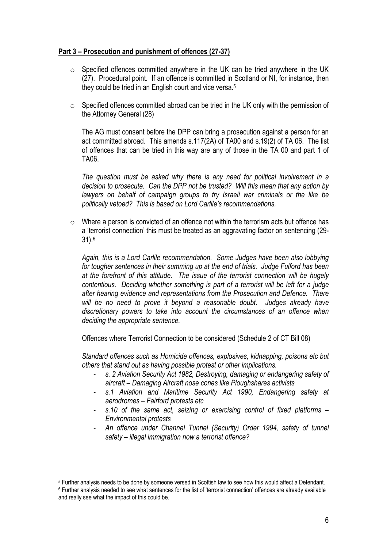### **Part 3 – Prosecution and punishment of offences (27-37)**

- o Specified offences committed anywhere in the UK can be tried anywhere in the UK (27). Procedural point. If an offence is committed in Scotland or NI, for instance, then they could be tried in an English court and vice versa.<sup>5</sup>
- o Specified offences committed abroad can be tried in the UK only with the permission of the Attorney General (28)

The AG must consent before the DPP can bring a prosecution against a person for an act committed abroad. This amends s.117(2A) of TA00 and s.19(2) of TA 06. The list of offences that can be tried in this way are any of those in the TA 00 and part 1 of TA06.

*The question must be asked why there is any need for political involvement in a decision to prosecute. Can the DPP not be trusted? Will this mean that any action by*  lawyers on behalf of campaign groups to try Israeli war criminals or the like be *politically vetoed? This is based on Lord Carlile's recommendations.* 

o Where a person is convicted of an offence not within the terrorism acts but offence has a 'terrorist connection' this must be treated as an aggravating factor on sentencing (29- 31).6

*Again, this is a Lord Carlile recommendation. Some Judges have been also lobbying for tougher sentences in their summing up at the end of trials. Judge Fulford has been at the forefront of this attitude. The issue of the terrorist connection will be hugely contentious. Deciding whether something is part of a terrorist will be left for a judge after hearing evidence and representations from the Prosecution and Defence. There will be no need to prove it beyond a reasonable doubt. Judges already have discretionary powers to take into account the circumstances of an offence when deciding the appropriate sentence.* 

Offences where Terrorist Connection to be considered (Schedule 2 of CT Bill 08)

*Standard offences such as Homicide offences, explosives, kidnapping, poisons etc but others that stand out as having possible protest or other implications.* 

- *s. 2 Aviation Security Act 1982, Destroying, damaging or endangering safety of aircraft – Damaging Aircraft nose cones like Ploughshares activists*
- *s.1 Aviation and Maritime Security Act 1990, Endangering safety at aerodromes – Fairford protests etc*
- *s.10 of the same act, seizing or exercising control of fixed platforms Environmental protests*
- *An offence under Channel Tunnel (Security) Order 1994, safety of tunnel safety – illegal immigration now a terrorist offence?*

<sup>5</sup> Further analysis needs to be done by someone versed in Scottish law to see how this would affect a Defendant. 6 Further analysis needed to see what sentences for the list of 'terrorist connection' offences are already available and really see what the impact of this could be.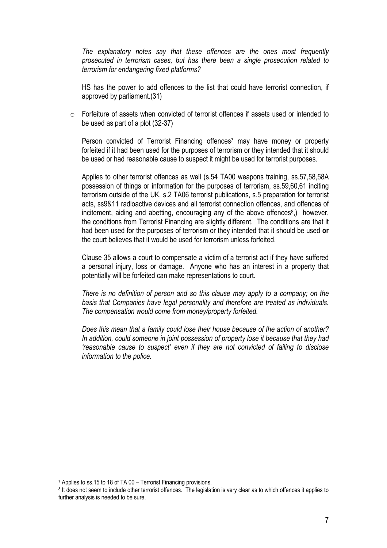*The explanatory notes say that these offences are the ones most frequently prosecuted in terrorism cases, but has there been a single prosecution related to terrorism for endangering fixed platforms?* 

HS has the power to add offences to the list that could have terrorist connection, if approved by parliament.(31)

 $\circ$  Forfeiture of assets when convicted of terrorist offences if assets used or intended to be used as part of a plot (32-37)

Person convicted of Terrorist Financing offences<sup>7</sup> may have money or property forfeited if it had been used for the purposes of terrorism or they intended that it should be used or had reasonable cause to suspect it might be used for terrorist purposes.

Applies to other terrorist offences as well (s.54 TA00 weapons training, ss.57,58,58A possession of things or information for the purposes of terrorism, ss.59,60,61 inciting terrorism outside of the UK, s.2 TA06 terrorist publications, s.5 preparation for terrorist acts, ss9&11 radioactive devices and all terrorist connection offences, and offences of incitement, aiding and abetting, encouraging any of the above offences<sup>8</sup>, however, the conditions from Terrorist Financing are slightly different. The conditions are that it had been used for the purposes of terrorism or they intended that it should be used **or**  the court believes that it would be used for terrorism unless forfeited.

Clause 35 allows a court to compensate a victim of a terrorist act if they have suffered a personal injury, loss or damage. Anyone who has an interest in a property that potentially will be forfeited can make representations to court.

*There is no definition of person and so this clause may apply to a company; on the basis that Companies have legal personality and therefore are treated as individuals. The compensation would come from money/property forfeited.* 

*Does this mean that a family could lose their house because of the action of another? In addition, could someone in joint possession of property lose it because that they had 'reasonable cause to suspect' even if they are not convicted of failing to disclose information to the police.* 

<sup>7</sup> Applies to ss.15 to 18 of TA 00 – Terrorist Financing provisions.

<sup>8</sup> It does not seem to include other terrorist offences. The legislation is very clear as to which offences it applies to further analysis is needed to be sure.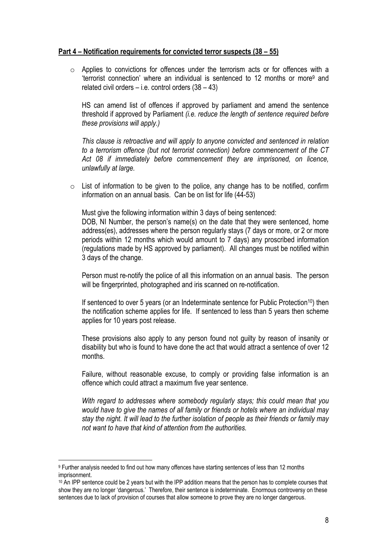#### **Part 4 – Notification requirements for convicted terror suspects (38 – 55)**

o Applies to convictions for offences under the terrorism acts or for offences with a 'terrorist connection' where an individual is sentenced to 12 months or more9 and related civil orders  $-$  i.e. control orders  $(38 - 43)$ 

HS can amend list of offences if approved by parliament and amend the sentence threshold if approved by Parliament *(i.e. reduce the length of sentence required before these provisions will apply.)* 

*This clause is retroactive and will apply to anyone convicted and sentenced in relation to a terrorism offence (but not terrorist connection) before commencement of the CT Act 08 if immediately before commencement they are imprisoned, on licence, unlawfully at large.* 

o List of information to be given to the police, any change has to be notified, confirm information on an annual basis. Can be on list for life (44-53)

Must give the following information within 3 days of being sentenced:

DOB, NI Number, the person's name(s) on the date that they were sentenced, home address(es), addresses where the person regularly stays (7 days or more, or 2 or more periods within 12 months which would amount to 7 days) any proscribed information (regulations made by HS approved by parliament). All changes must be notified within 3 days of the change.

Person must re-notify the police of all this information on an annual basis. The person will be fingerprinted, photographed and iris scanned on re-notification.

If sentenced to over 5 years (or an Indeterminate sentence for Public Protection<sup>10</sup>) then the notification scheme applies for life. If sentenced to less than 5 years then scheme applies for 10 years post release.

These provisions also apply to any person found not guilty by reason of insanity or disability but who is found to have done the act that would attract a sentence of over 12 months.

Failure, without reasonable excuse, to comply or providing false information is an offence which could attract a maximum five year sentence.

*With regard to addresses where somebody regularly stays; this could mean that you would have to give the names of all family or friends or hotels where an individual may stay the night. It will lead to the further isolation of people as their friends or family may not want to have that kind of attention from the authorities.* 

<sup>9</sup> Further analysis needed to find out how many offences have starting sentences of less than 12 months imprisonment.

<sup>&</sup>lt;sup>10</sup> An IPP sentence could be 2 years but with the IPP addition means that the person has to complete courses that show they are no longer 'dangerous.' Therefore, their sentence is indeterminate. Enormous controversy on these sentences due to lack of provision of courses that allow someone to prove they are no longer dangerous.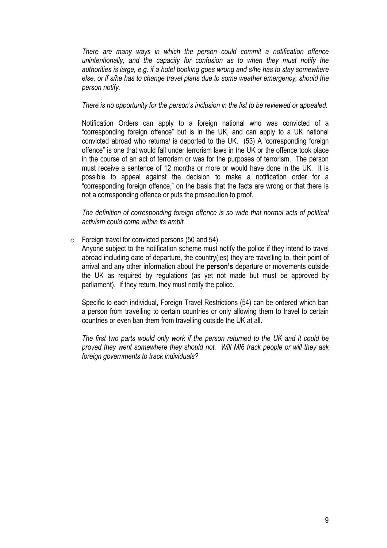*There are many ways in which the person could commit a notification offence unintentionally, and the capacity for confusion as to when they must notify the authorities is large, e.g. if a hotel booking goes wrong and s/he has to stay somewhere else, or if s/he has to change travel plans due to some weather emergency, should the person notify.* 

*There is no opportunity for the person's inclusion in the list to be reviewed or appealed.*

Notification Orders can apply to a foreign national who was convicted of a "corresponding foreign offence" but is in the UK, and can apply to a UK national convicted abroad who returns/ is deported to the UK. (53) A 'corresponding foreign offence" is one that would fall under terrorism laws in the UK or the offence took place in the course of an act of terrorism or was for the purposes of terrorism. The person must receive a sentence of 12 months or more or would have done in the UK. It is possible to appeal against the decision to make a notification order for a "corresponding foreign offence," on the basis that the facts are wrong or that there is not a corresponding offence or puts the prosecution to proof.

*The definition of corresponding foreign offence is so wide that normal acts of political activism could come within its ambit.* 

 $\circ$  Foreign travel for convicted persons (50 and 54)

Anyone subject to the notification scheme must notify the police if they intend to travel abroad including date of departure, the country(ies) they are travelling to, their point of arrival and any other information about the **person's** departure or movements outside the UK as required by regulations (as yet not made but must be approved by parliament). If they return, they must notify the police.

Specific to each individual, Foreign Travel Restrictions (54) can be ordered which ban a person from travelling to certain countries or only allowing them to travel to certain countries or even ban them from travelling outside the UK at all.

*The first two parts would only work if the person returned to the UK and it could be proved they went somewhere they should not. Will MI6 track people or will they ask foreign governments to track individuals?*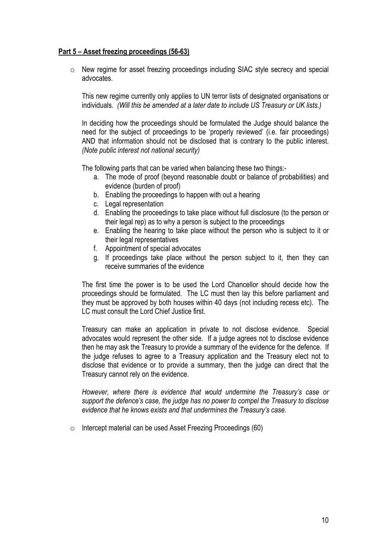### **Part 5 – Asset freezing proceedings (56-63)**

o New regime for asset freezing proceedings including SIAC style secrecy and special advocates.

This new regime currently only applies to UN terror lists of designated organisations or individuals. *(Will this be amended at a later date to include US Treasury or UK lists.)*

In deciding how the proceedings should be formulated the Judge should balance the need for the subject of proceedings to be 'properly reviewed' (i.e. fair proceedings) AND that information should not be disclosed that is contrary to the public interest. *(Note public interest not national security)*

The following parts that can be varied when balancing these two things:-

- a. The mode of proof (beyond reasonable doubt or balance of probabilities) and evidence (burden of proof)
- b. Enabling the proceedings to happen with out a hearing
- c. Legal representation
- d. Enabling the proceedings to take place without full disclosure (to the person or their legal rep) as to why a person is subject to the proceedings
- e. Enabling the hearing to take place without the person who is subject to it or their legal representatives
- f. Appointment of special advocates
- g. If proceedings take place without the person subject to it, then they can receive summaries of the evidence

The first time the power is to be used the Lord Chancellor should decide how the proceedings should be formulated. The LC must then lay this before parliament and they must be approved by both houses within 40 days (not including recess etc). The LC must consult the Lord Chief Justice first.

Treasury can make an application in private to not disclose evidence. Special advocates would represent the other side. If a judge agrees not to disclose evidence then he may ask the Treasury to provide a summary of the evidence for the defence. If the judge refuses to agree to a Treasury application and the Treasury elect not to disclose that evidence or to provide a summary, then the judge can direct that the Treasury cannot rely on the evidence.

*However, where there is evidence that would undermine the Treasury's case or support the defence's case, the judge has no power to compel the Treasury to disclose evidence that he knows exists and that undermines the Treasury's case.* 

o Intercept material can be used Asset Freezing Proceedings (60)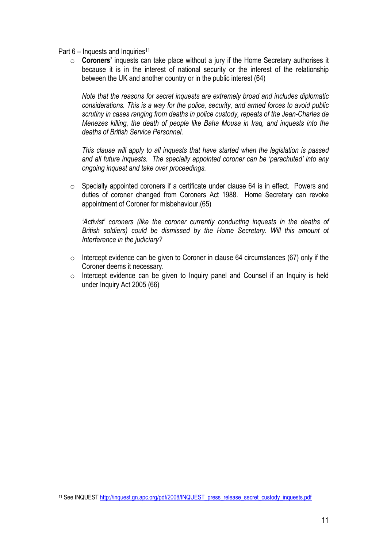- Part  $6$  Inquests and Inquiries<sup>11</sup>
	- o **Coroners'** inquests can take place without a jury if the Home Secretary authorises it because it is in the interest of national security or the interest of the relationship between the UK and another country or in the public interest (64)

*Note that the reasons for secret inquests are extremely broad and includes diplomatic considerations. This is a way for the police, security, and armed forces to avoid public scrutiny in cases ranging from deaths in police custody, repeats of the Jean-Charles de Menezes killing, the death of people like Baha Mousa in Iraq, and inquests into the deaths of British Service Personnel.* 

*This clause will apply to all inquests that have started when the legislation is passed and all future inquests. The specially appointed coroner can be 'parachuted' into any ongoing inquest and take over proceedings.* 

 $\circ$  Specially appointed coroners if a certificate under clause 64 is in effect. Powers and duties of coroner changed from Coroners Act 1988. Home Secretary can revoke appointment of Coroner for misbehaviour.(65)

*'Activist' coroners (like the coroner currently conducting inquests in the deaths of British soldiers) could be dismissed by the Home Secretary. Will this amount ot Interference in the judiciary?* 

- $\circ$  Intercept evidence can be given to Coroner in clause 64 circumstances (67) only if the Coroner deems it necessary.
- o Intercept evidence can be given to Inquiry panel and Counsel if an Inquiry is held under Inquiry Act 2005 (66)

<sup>11</sup> See INQUEST http://inquest.gn.apc.org/pdf/2008/INQUEST\_press\_release\_secret\_custody\_inquests.pdf